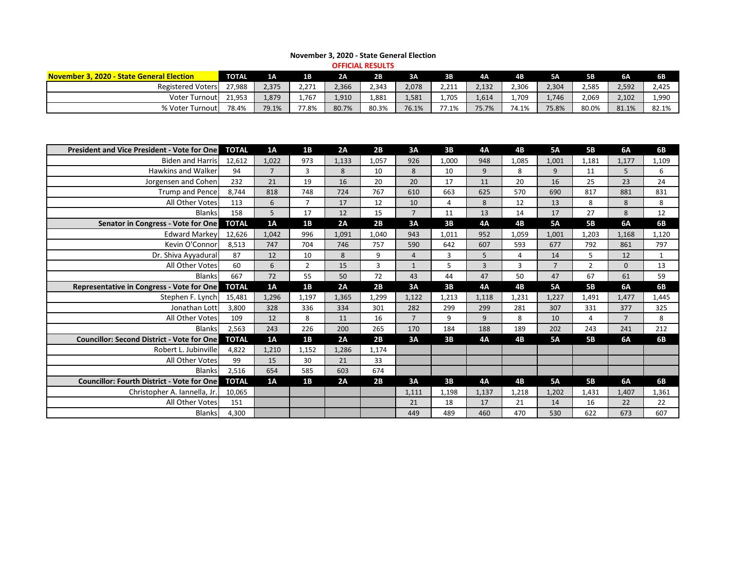| <b>OFFICIAL RESULTS</b>                   |              |                |           |       |       |       |       |       |           |           |       |       |       |
|-------------------------------------------|--------------|----------------|-----------|-------|-------|-------|-------|-------|-----------|-----------|-------|-------|-------|
| November 3, 2020 - State General Election | <b>TOTAL</b> | 1 <sub>A</sub> | <b>1B</b> | 2A    | 2B    | 3A    | 3B    | 4Α    | <b>4B</b> | <b>5A</b> | 5B    | 6A    | 6В    |
| <b>Registered Voters</b>                  | 27,988       | 2,375          | 2,271     | 2,366 | 2,343 | 2,078 | 2,211 | 2,132 | 2,306     | 2,304     | 2,585 | 2,592 | 2,425 |
| Voter Turnout                             | 21,953       | 1,879          | 1,767     | 1,910 | 1,881 | 1,581 | 1,705 | 1,614 | 907,⊾     | 1,746     | 2,069 | 2,102 | 1,990 |
| % Voter Turnout                           | 78.4%        | 79.1%          | 77.8%     | 80.7% | 80.3% | 76.1% | 77.1% | 75.7% | 74.1%     | 75.8%     | 80.0% | 81.1% | 82.1% |

## **November 3, 2020 - State General Election**

| <b>President and Vice President - Vote for One</b> | <b>TOTAL</b> | 1A    | 1B             | 2A    | 2B    | 3A             | 3B             | <b>4A</b>      | 4B    | <b>5A</b>      | <b>5B</b>      | 6A             | <b>6B</b>    |
|----------------------------------------------------|--------------|-------|----------------|-------|-------|----------------|----------------|----------------|-------|----------------|----------------|----------------|--------------|
| <b>Biden and Harris</b>                            | 12,612       | 1,022 | 973            | 1,133 | 1,057 | 926            | 1,000          | 948            | 1,085 | 1,001          | 1,181          | 1,177          | 1,109        |
| <b>Hawkins and Walker</b>                          | 94           | 7     | $\mathbf{3}$   | 8     | 10    | 8              | 10             | 9              | 8     | 9              | 11             | 5              | 6            |
| Jorgensen and Cohen                                | 232          | 21    | 19             | 16    | 20    | 20             | 17             | 11             | 20    | 16             | 25             | 23             | 24           |
| <b>Trump and Pence</b>                             | 8,744        | 818   | 748            | 724   | 767   | 610            | 663            | 625            | 570   | 690            | 817            | 881            | 831          |
| All Other Votes                                    | 113          | 6     | $\overline{7}$ | 17    | 12    | 10             | $\overline{4}$ | 8              | 12    | 13             | 8              | $\bf 8$        | 8            |
| <b>Blanks</b>                                      | 158          | 5     | 17             | 12    | 15    | $\overline{7}$ | 11             | 13             | 14    | 17             | 27             | 8              | 12           |
| Senator in Congress - Vote for One                 | <b>TOTAL</b> | 1A    | 1B             | 2A    | 2B    | 3A             | 3B             | <b>4A</b>      | 4B    | <b>5A</b>      | <b>5B</b>      | 6A             | <b>6B</b>    |
| <b>Edward Markey</b>                               | 12,626       | 1,042 | 996            | 1,091 | 1,040 | 943            | 1,011          | 952            | 1,059 | 1,001          | 1,203          | 1,168          | 1,120        |
| Kevin O'Connor                                     | 8,513        | 747   | 704            | 746   | 757   | 590            | 642            | 607            | 593   | 677            | 792            | 861            | 797          |
| Dr. Shiva Ayyadural                                | 87           | 12    | 10             | 8     | 9     | $\overline{4}$ | 3              | 5              | 4     | 14             | 5              | 12             | $\mathbf{1}$ |
| All Other Votes                                    | 60           | 6     | $\overline{2}$ | 15    | 3     | $\mathbf{1}$   | 5              | $\overline{3}$ | 3     | $\overline{7}$ | $\overline{2}$ | $\mathbf{0}$   | 13           |
| <b>Blanks</b>                                      | 667          | 72    | 55             | 50    | 72    | 43             | 44             | 47             | 50    | 47             | 67             | 61             | 59           |
| Representative in Congress - Vote for One          | <b>TOTAL</b> | 1A    | 1B             | 2A    | 2B    | 3A             | 3B             | <b>4A</b>      | 4B    | <b>5A</b>      | <b>5B</b>      | 6A             | <b>6B</b>    |
| Stephen F. Lynch                                   | 15,481       | 1,296 | 1,197          | 1,365 | 1,299 | 1,122          | 1,213          | 1,118          | 1,231 | 1,227          | 1,491          | 1,477          | 1,445        |
| Jonathan Lott                                      | 3,800        | 328   | 336            | 334   | 301   | 282            | 299            | 299            | 281   | 307            | 331            | 377            | 325          |
| All Other Votes                                    | 109          | 12    | 8              | 11    | 16    | $\overline{7}$ | 9              | 9              | 8     | 10             | 4              | $\overline{7}$ | 8            |
| <b>Blanks</b>                                      | 2,563        | 243   | 226            | 200   | 265   | 170            | 184            | 188            | 189   | 202            | 243            | 241            | 212          |
| <b>Councillor: Second District - Vote for One</b>  | <b>TOTAL</b> | 1A    | 1B             | 2A    | 2B    | 3A             | 3B             | <b>4A</b>      | 4B    | <b>5A</b>      | <b>5B</b>      | 6A             | <b>6B</b>    |
| Robert L. Jubinville                               | 4,822        | 1,210 | 1,152          | 1,286 | 1,174 |                |                |                |       |                |                |                |              |
| All Other Votes                                    | 99           | 15    | 30             | 21    | 33    |                |                |                |       |                |                |                |              |
| <b>Blanks</b>                                      | 2,516        | 654   | 585            | 603   | 674   |                |                |                |       |                |                |                |              |
| <b>Councillor: Fourth District - Vote for One</b>  | <b>TOTAL</b> | 1A    | 1B             | 2A    | 2B    | 3A             | 3B             | <b>4A</b>      | 4B    | <b>5A</b>      | <b>5B</b>      | 6A             | <b>6B</b>    |
| Christopher A. Iannella, Jr                        | 10,065       |       |                |       |       | 1,111          | 1,198          | 1,137          | 1,218 | 1,202          | 1,431          | 1,407          | 1,361        |
| All Other Votes                                    | 151          |       |                |       |       | 21             | 18             | 17             | 21    | 14             | 16             | 22             | 22           |
| <b>Blanks</b>                                      | 4,300        |       |                |       |       | 449            | 489            | 460            | 470   | 530            | 622            | 673            | 607          |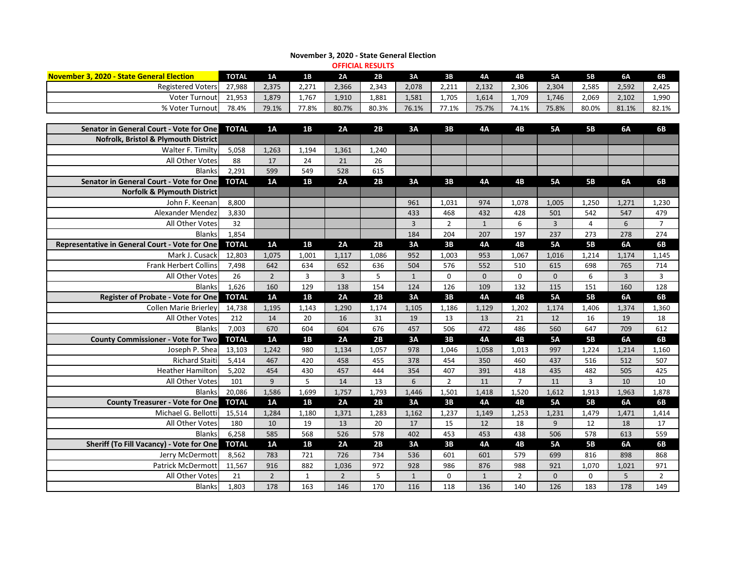| <b>OFFICIAL RESULTS</b>                          |              |                |              |                |                |                |                |              |                |                |                |                |                |
|--------------------------------------------------|--------------|----------------|--------------|----------------|----------------|----------------|----------------|--------------|----------------|----------------|----------------|----------------|----------------|
| <b>November 3, 2020 - State General Election</b> | <b>TOTAL</b> | 1A             | 1B           | 2A             | 2B             | 3A             | 3B             | 4A           | 4B             | <b>5A</b>      | <b>5B</b>      | 6A             | 6B             |
| <b>Registered Voters</b>                         | 27,988       | 2,375          | 2,271        | 2,366          | 2,343          | 2,078          | 2,211          | 2,132        | 2,306          | 2,304          | 2,585          | 2,592          | 2,425          |
| <b>Voter Turnout</b>                             | 21,953       | 1,879          | 1,767        | 1,910          | 1,881          | 1,581          | 1,705          | 1,614        | 1,709          | 1,746          | 2,069          | 2,102          | 1,990          |
| % Voter Turnout                                  | 78.4%        | 79.1%          | 77.8%        | 80.7%          | 80.3%          | 76.1%          | 77.1%          | 75.7%        | 74.1%          | 75.8%          | 80.0%          | 81.1%          | 82.1%          |
|                                                  |              |                |              |                |                |                |                |              |                |                |                |                |                |
| Senator in General Court - Vote for One          | <b>TOTAL</b> | 1A             | 1B           | 2A             | 2B             | 3A             | 3B             | <b>4A</b>    | <b>4B</b>      | <b>5A</b>      | <b>5B</b>      | <b>6A</b>      | <b>6B</b>      |
| Nofrolk, Bristol & Plymouth District             |              |                |              |                |                |                |                |              |                |                |                |                |                |
| Walter F. Timilty                                | 5,058        | 1,263          | 1,194        | 1,361          | 1,240          |                |                |              |                |                |                |                |                |
| All Other Votes                                  | 88           | 17             | 24           | 21             | 26             |                |                |              |                |                |                |                |                |
| <b>Blanks</b>                                    | 2,291        | 599            | 549          | 528            | 615            |                |                |              |                |                |                |                |                |
| Senator in General Court - Vote for One          | <b>TOTAL</b> | 1A             | 1B           | 2A             | 2B             | 3A             | 3B             | <b>4A</b>    | 4 <b>B</b>     | <b>5A</b>      | <b>5B</b>      | <b>6A</b>      | 6B             |
| <b>Norfolk &amp; Plymouth District</b>           |              |                |              |                |                |                |                |              |                |                |                |                |                |
| John F. Keenan                                   | 8,800        |                |              |                |                | 961            | 1,031          | 974          | 1,078          | 1,005          | 1,250          | 1,271          | 1,230          |
| Alexander Mendez                                 | 3,830        |                |              |                |                | 433            | 468            | 432          | 428            | 501            | 542            | 547            | 479            |
| All Other Votes                                  | 32           |                |              |                |                | $\overline{3}$ | $\overline{2}$ | $\mathbf{1}$ | 6              | $\overline{3}$ | $\overline{4}$ | 6              | $\overline{7}$ |
| <b>Blanks</b>                                    | 1,854        |                |              |                |                | 184            | 204            | 207          | 197            | 237            | 273            | 278            | 274            |
| Representative in General Court - Vote for One   | <b>TOTAL</b> | 1A             | 1B           | 2A             | 2B             | 3A             | 3B             | <b>4A</b>    | 4B             | <b>5A</b>      | <b>5B</b>      | 6A             | 6B             |
| Mark J. Cusack                                   | 12,803       | 1,075          | 1,001        | 1,117          | 1,086          | 952            | 1,003          | 953          | 1,067          | 1,016          | 1,214          | 1,174          | 1,145          |
| <b>Frank Herbert Collins</b>                     | 7,498        | 642            | 634          | 652            | 636            | 504            | 576            | 552          | 510            | 615            | 698            | 765            | 714            |
| All Other Votes                                  | 26           | $\overline{2}$ | 3            | 3              | 5              | $\mathbf{1}$   | 0              | $\mathbf{0}$ | 0              | $\overline{0}$ | 6              | $\overline{3}$ | 3              |
| <b>Blanks</b>                                    | 1,626        | 160            | 129          | 138            | 154            | 124            | 126            | 109          | 132            | 115            | 151            | 160            | 128            |
| <b>Register of Probate - Vote for One</b>        | <b>TOTAL</b> | 1A             | 1B           | 2A             | 2B             | 3A             | 3B             | <b>4A</b>    | 4B             | <b>5A</b>      | <b>5B</b>      | 6A             | 6B             |
| <b>Collen Marie Brierley</b>                     | 14,738       | 1,195          | 1,143        | 1,290          | 1,174          | 1,105          | 1,186          | 1,129        | 1,202          | 1,174          | 1,406          | 1,374          | 1,360          |
| All Other Votes                                  | 212          | 14             | 20           | 16             | 31             | 19             | 13             | 13           | 21             | 12             | 16             | 19             | 18             |
| <b>Blanks</b>                                    | 7,003        | 670            | 604          | 604            | 676            | 457            | 506            | 472          | 486            | 560            | 647            | 709            | 612            |
| <b>County Commissioner - Vote for Two</b>        | <b>TOTAL</b> | 1A             | 1B           | 2A             | 2B             | 3A             | 3B             | <b>4A</b>    | <b>4B</b>      | <b>5A</b>      | <b>5B</b>      | <b>6A</b>      | <b>6B</b>      |
| Joseph P. Shea                                   | 13,103       | 1,242          | 980          | 1,134          | 1,057          | 978            | 1,046          | 1,058        | 1,013          | 997            | 1,224          | 1,214          | 1,160          |
| <b>Richard Staiti</b>                            | 5,414        | 467            | 420          | 458            | 455            | 378            | 454            | 350          | 460            | 437            | 516            | 512            | 507            |
| Heather Hamilton                                 | 5,202        | 454            | 430          | 457            | 444            | 354            | 407            | 391          | 418            | 435            | 482            | 505            | 425            |
| All Other Votes                                  | 101          | 9              | 5            | 14             | 13             | 6              | $\overline{2}$ | 11           | $\overline{7}$ | 11             | $\overline{3}$ | 10             | 10             |
| <b>Blanks</b>                                    | 20,086       | 1,586          | 1,699        | 1,757          | 1,793          | 1,446          | 1,501          | 1,418        | 1,520          | 1,612          | 1,913          | 1,963          | 1,878          |
| <b>County Treasurer - Vote for One</b>           | <b>TOTAL</b> | 1A             | 1B           | 2A             | 2B             | 3A             | 3B             | <b>4A</b>    | 4B             | <b>5A</b>      | <b>5B</b>      | <b>6A</b>      | 6B             |
| Michael G. Bellotti                              | 15,514       | 1,284          | 1,180        | 1,371          | 1,283          | 1,162          | 1,237          | 1,149        | 1,253          | 1,231          | 1,479          | 1,471          | 1,414          |
| All Other Votes                                  | 180          | 10             | 19           | 13             | 20             | 17             | 15             | 12           | 18             | 9              | 12             | 18             | 17             |
| <b>Blanks</b>                                    | 6,258        | 585            | 568          | 526            | 578            | 402            | 453            | 453          | 438            | 506            | 578            | 613            | 559            |
| Sheriff (To Fill Vacancy) - Vote for One         | <b>TOTAL</b> | 1A             | 1B           | 2A             | 2B             | 3A             | 3B             | <b>4A</b>    | <b>4B</b>      | <b>5A</b>      | <b>5B</b>      | 6A             | 6B             |
| Jerry McDermott                                  | 8,562        | 783            | 721          | 726            | 734            | 536            | 601            | 601          | 579            | 699            | 816            | 898            | 868            |
| Patrick McDermott                                | 11,567       | 916            | 882          | 1,036          | 972            | 928            | 986            | 876          | 988            | 921            | 1,070          | 1,021          | 971            |
| All Other Votes                                  | 21           | $2^{\circ}$    | $\mathbf{1}$ | $\overline{2}$ | $5\phantom{.}$ | $\mathbf{1}$   | $\mathbf 0$    | $\mathbf{1}$ | $2^{\circ}$    | $\mathbf{0}$   | 0              | 5              | $\overline{2}$ |
| <b>Blanks</b>                                    | 1,803        | 178            | 163          | 146            | 170            | 116            | 118            | 136          | 140            | 126            | 183            | 178            | 149            |

## **November 3, 2020 - State General Election**